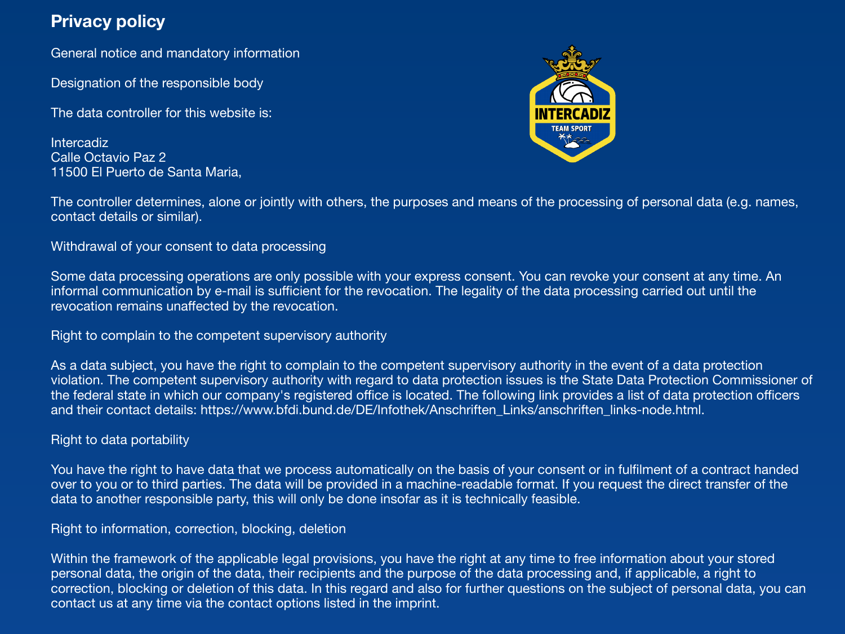# **Privacy policy**

General notice and mandatory information

Designation of the responsible body

The data controller for this website is:

Intercadiz Calle Octavio Paz 2 11500 El Puerto de Santa Maria,



The controller determines, alone or jointly with others, the purposes and means of the processing of personal data (e.g. names, contact details or similar).

Withdrawal of your consent to data processing

Some data processing operations are only possible with your express consent. You can revoke your consent at any time. An informal communication by e-mail is sufficient for the revocation. The legality of the data processing carried out until the revocation remains unaffected by the revocation.

Right to complain to the competent supervisory authority

As a data subject, you have the right to complain to the competent supervisory authority in the event of a data protection violation. The competent supervisory authority with regard to data protection issues is the State Data Protection Commissioner of the federal state in which our company's registered office is located. The following link provides a list of data protection officers and their contact details: https://www.bfdi.bund.de/DE/Infothek/Anschriften\_Links/anschriften\_links-node.html.

## Right to data portability

You have the right to have data that we process automatically on the basis of your consent or in fulfilment of a contract handed over to you or to third parties. The data will be provided in a machine-readable format. If you request the direct transfer of the data to another responsible party, this will only be done insofar as it is technically feasible.

Right to information, correction, blocking, deletion

Within the framework of the applicable legal provisions, you have the right at any time to free information about your stored personal data, the origin of the data, their recipients and the purpose of the data processing and, if applicable, a right to correction, blocking or deletion of this data. In this regard and also for further questions on the subject of personal data, you can contact us at any time via the contact options listed in the imprint.